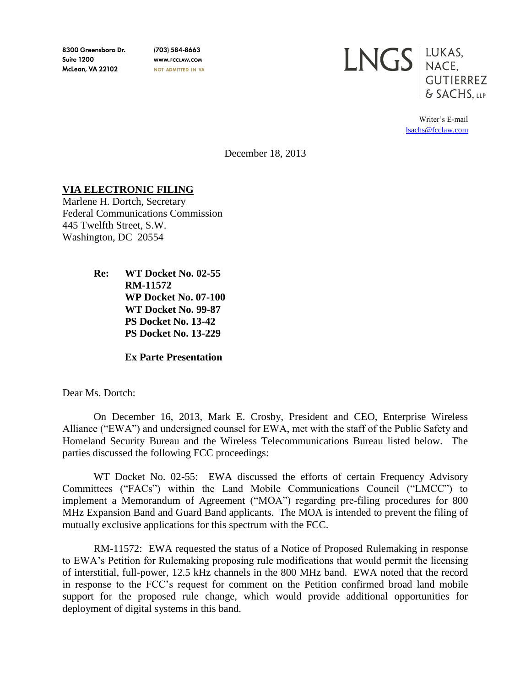8300 Greensboro Dr. **Suite 1200 McLean, VA 22102** 

(703) 584-8663 WWW.FCCLAW.COM NOT ADMITTED IN VA



Writer's E-mail [lsachs@fcclaw.com](mailto:lsachs@fcclaw.com)

December 18, 2013

## **VIA ELECTRONIC FILING**

Marlene H. Dortch, Secretary Federal Communications Commission 445 Twelfth Street, S.W. Washington, DC 20554

> **Re: WT Docket No. 02-55 RM-11572 WP Docket No. 07-100 WT Docket No. 99-87 PS Docket No. 13-42 PS Docket No. 13-229**

> > **Ex Parte Presentation**

Dear Ms. Dortch:

On December 16, 2013, Mark E. Crosby, President and CEO, Enterprise Wireless Alliance ("EWA") and undersigned counsel for EWA, met with the staff of the Public Safety and Homeland Security Bureau and the Wireless Telecommunications Bureau listed below. The parties discussed the following FCC proceedings:

WT Docket No. 02-55: EWA discussed the efforts of certain Frequency Advisory Committees ("FACs") within the Land Mobile Communications Council ("LMCC") to implement a Memorandum of Agreement ("MOA") regarding pre-filing procedures for 800 MHz Expansion Band and Guard Band applicants. The MOA is intended to prevent the filing of mutually exclusive applications for this spectrum with the FCC.

RM-11572: EWA requested the status of a Notice of Proposed Rulemaking in response to EWA's Petition for Rulemaking proposing rule modifications that would permit the licensing of interstitial, full-power, 12.5 kHz channels in the 800 MHz band. EWA noted that the record in response to the FCC's request for comment on the Petition confirmed broad land mobile support for the proposed rule change, which would provide additional opportunities for deployment of digital systems in this band.